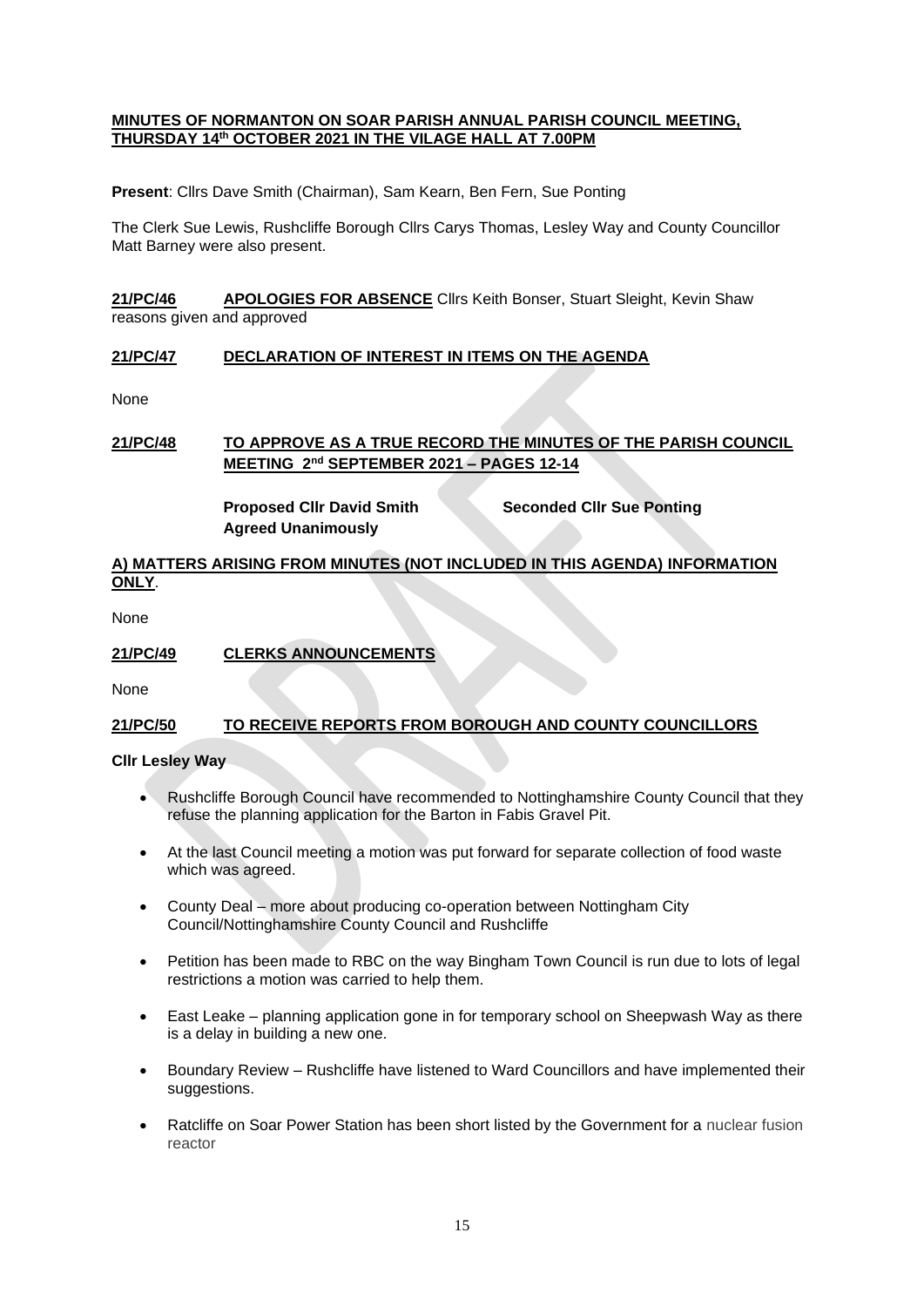### **MINUTES OF NORMANTON ON SOAR PARISH ANNUAL PARISH COUNCIL MEETING, THURSDAY 14th OCTOBER 2021 IN THE VILAGE HALL AT 7.00PM**

**Present**: Cllrs Dave Smith (Chairman), Sam Kearn, Ben Fern, Sue Ponting

The Clerk Sue Lewis, Rushcliffe Borough Cllrs Carys Thomas, Lesley Way and County Councillor Matt Barney were also present.

**21/PC/46 APOLOGIES FOR ABSENCE** Cllrs Keith Bonser, Stuart Sleight, Kevin Shaw reasons given and approved

### **21/PC/47 DECLARATION OF INTEREST IN ITEMS ON THE AGENDA**

None

# **21/PC/48 TO APPROVE AS A TRUE RECORD THE MINUTES OF THE PARISH COUNCIL MEETING 2nd SEPTEMBER 2021 – PAGES 12-14**

**Agreed Unanimously**

**Proposed Cllr David Smith Seconded Cllr Sue Ponting**

# **A) MATTERS ARISING FROM MINUTES (NOT INCLUDED IN THIS AGENDA) INFORMATION ONLY**.

None

## **21/PC/49 CLERKS ANNOUNCEMENTS**

None

## **21/PC/50 TO RECEIVE REPORTS FROM BOROUGH AND COUNTY COUNCILLORS**

#### **Cllr Lesley Way**

- Rushcliffe Borough Council have recommended to Nottinghamshire County Council that they refuse the planning application for the Barton in Fabis Gravel Pit.
- At the last Council meeting a motion was put forward for separate collection of food waste which was agreed.
- County Deal more about producing co-operation between Nottingham City Council/Nottinghamshire County Council and Rushcliffe
- Petition has been made to RBC on the way Bingham Town Council is run due to lots of legal restrictions a motion was carried to help them.
- East Leake planning application gone in for temporary school on Sheepwash Way as there is a delay in building a new one.
- Boundary Review Rushcliffe have listened to Ward Councillors and have implemented their suggestions.
- Ratcliffe on Soar Power Station has been short listed by the Government for a nuclear fusion reactor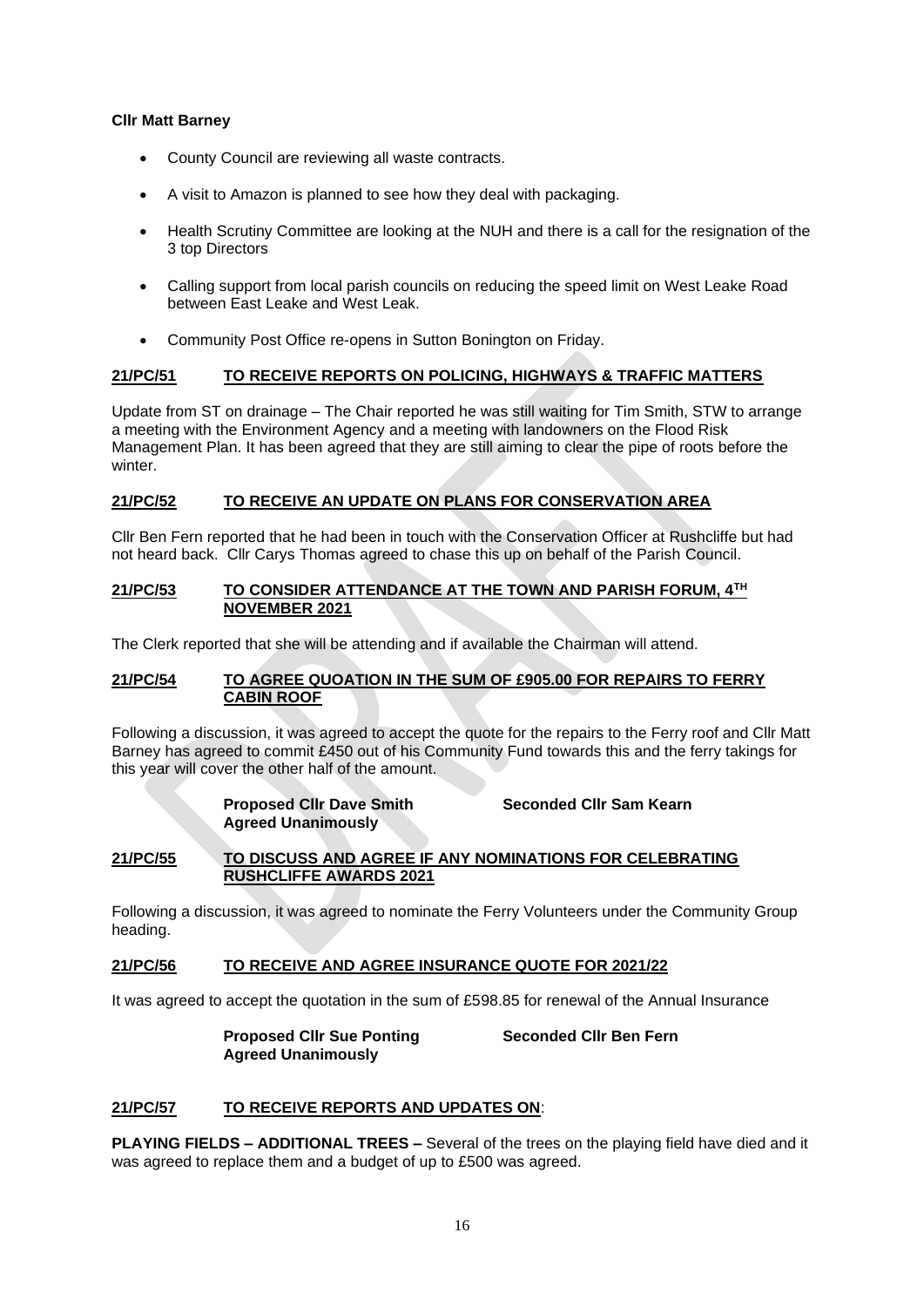## **Cllr Matt Barney**

- County Council are reviewing all waste contracts.
- A visit to Amazon is planned to see how they deal with packaging.
- Health Scrutiny Committee are looking at the NUH and there is a call for the resignation of the 3 top Directors
- Calling support from local parish councils on reducing the speed limit on West Leake Road between East Leake and West Leak.
- Community Post Office re-opens in Sutton Bonington on Friday.

## **21/PC/51 TO RECEIVE REPORTS ON POLICING, HIGHWAYS & TRAFFIC MATTERS**

Update from ST on drainage – The Chair reported he was still waiting for Tim Smith, STW to arrange a meeting with the Environment Agency and a meeting with landowners on the Flood Risk Management Plan. It has been agreed that they are still aiming to clear the pipe of roots before the winter.

### **21/PC/52 TO RECEIVE AN UPDATE ON PLANS FOR CONSERVATION AREA**

Cllr Ben Fern reported that he had been in touch with the Conservation Officer at Rushcliffe but had not heard back. Cllr Carys Thomas agreed to chase this up on behalf of the Parish Council.

#### **21/PC/53 TO CONSIDER ATTENDANCE AT THE TOWN AND PARISH FORUM, 4TH NOVEMBER 2021**

The Clerk reported that she will be attending and if available the Chairman will attend.

## **21/PC/54 TO AGREE QUOATION IN THE SUM OF £905.00 FOR REPAIRS TO FERRY CABIN ROOF**

Following a discussion, it was agreed to accept the quote for the repairs to the Ferry roof and Cllr Matt Barney has agreed to commit £450 out of his Community Fund towards this and the ferry takings for this year will cover the other half of the amount.

# **Proposed Cllr Dave Smith Seconded Cllr Sam Kearn Agreed Unanimously**

**21/PC/55 TO DISCUSS AND AGREE IF ANY NOMINATIONS FOR CELEBRATING RUSHCLIFFE AWARDS 2021**

Following a discussion, it was agreed to nominate the Ferry Volunteers under the Community Group heading.

#### **21/PC/56 TO RECEIVE AND AGREE INSURANCE QUOTE FOR 2021/22**

It was agreed to accept the quotation in the sum of £598.85 for renewal of the Annual Insurance

**Proposed Cllr Sue Ponting Seconded Cllr Ben Fern Agreed Unanimously**

## **21/PC/57 TO RECEIVE REPORTS AND UPDATES ON**:

**PLAYING FIELDS – ADDITIONAL TREES –** Several of the trees on the playing field have died and it was agreed to replace them and a budget of up to £500 was agreed.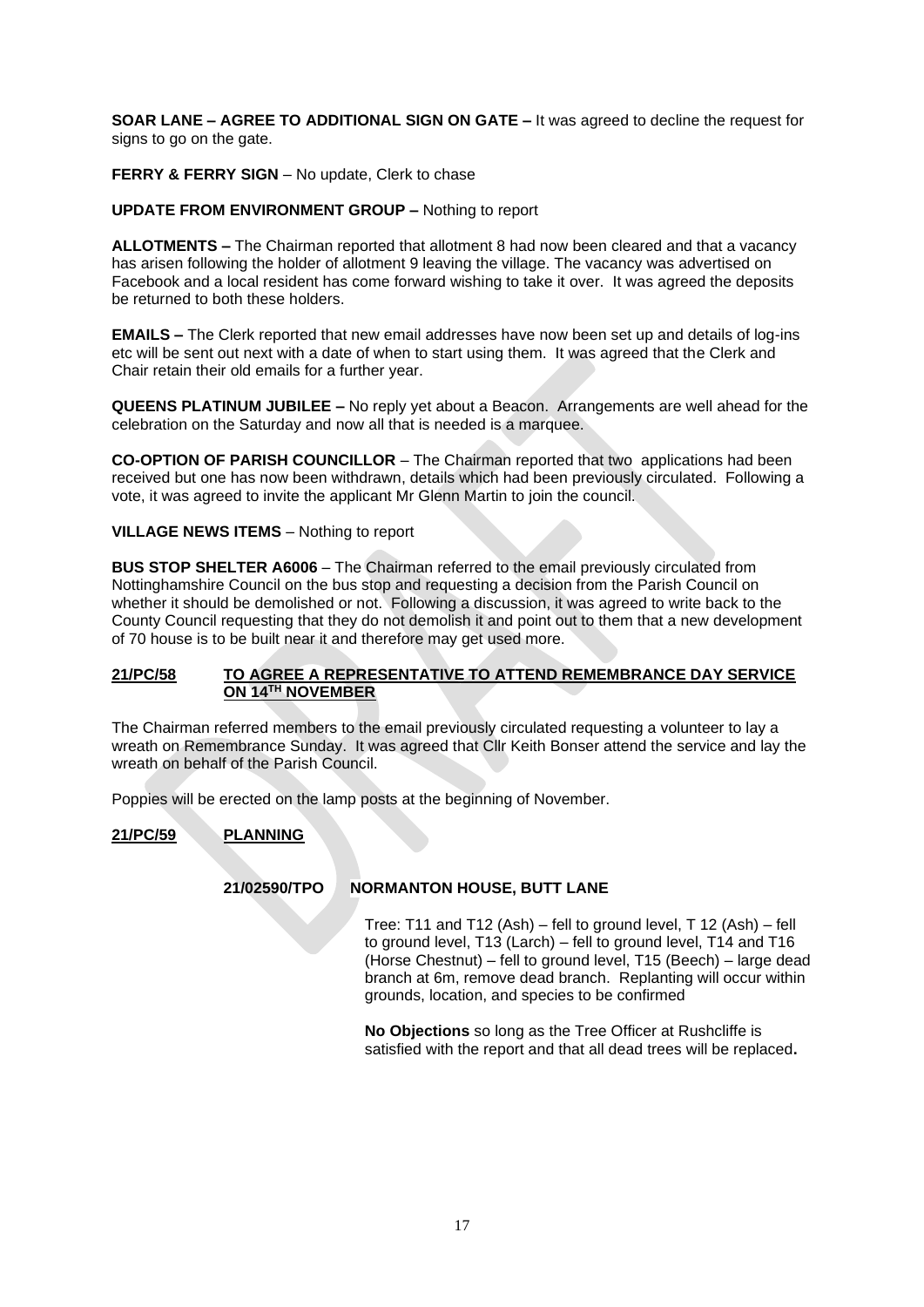**SOAR LANE – AGREE TO ADDITIONAL SIGN ON GATE –** It was agreed to decline the request for signs to go on the gate.

**FERRY & FERRY SIGN** – No update, Clerk to chase

### **UPDATE FROM ENVIRONMENT GROUP –** Nothing to report

**ALLOTMENTS –** The Chairman reported that allotment 8 had now been cleared and that a vacancy has arisen following the holder of allotment 9 leaving the village. The vacancy was advertised on Facebook and a local resident has come forward wishing to take it over. It was agreed the deposits be returned to both these holders.

**EMAILS –** The Clerk reported that new email addresses have now been set up and details of log-ins etc will be sent out next with a date of when to start using them. It was agreed that the Clerk and Chair retain their old emails for a further year.

**QUEENS PLATINUM JUBILEE –** No reply yet about a Beacon. Arrangements are well ahead for the celebration on the Saturday and now all that is needed is a marquee.

**CO-OPTION OF PARISH COUNCILLOR** – The Chairman reported that two applications had been received but one has now been withdrawn, details which had been previously circulated. Following a vote, it was agreed to invite the applicant Mr Glenn Martin to join the council.

### **VILLAGE NEWS ITEMS** – Nothing to report

**BUS STOP SHELTER A6006** – The Chairman referred to the email previously circulated from Nottinghamshire Council on the bus stop and requesting a decision from the Parish Council on whether it should be demolished or not. Following a discussion, it was agreed to write back to the County Council requesting that they do not demolish it and point out to them that a new development of 70 house is to be built near it and therefore may get used more.

### **21/PC/58 TO AGREE A REPRESENTATIVE TO ATTEND REMEMBRANCE DAY SERVICE ON 14TH NOVEMBER**

The Chairman referred members to the email previously circulated requesting a volunteer to lay a wreath on Remembrance Sunday. It was agreed that Cllr Keith Bonser attend the service and lay the wreath on behalf of the Parish Council.

Poppies will be erected on the lamp posts at the beginning of November.

## **21/PC/59 PLANNING**

#### **21/02590/TPO NORMANTON HOUSE, BUTT LANE**

Tree: T11 and T12 (Ash) – fell to ground level, T 12 (Ash) – fell to ground level, T13 (Larch) – fell to ground level, T14 and T16 (Horse Chestnut) – fell to ground level, T15 (Beech) – large dead branch at 6m, remove dead branch. Replanting will occur within grounds, location, and species to be confirmed

**No Objections** so long as the Tree Officer at Rushcliffe is satisfied with the report and that all dead trees will be replaced**.**